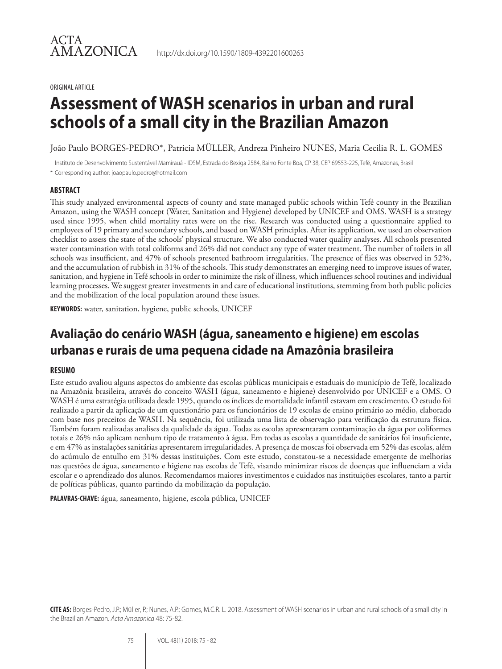#### ORIGINAL ARTICLE

# **Assessment of WASH scenarios in urban and rural schools of a small city in the Brazilian Amazon**

João Paulo BORGES-PEDRO\*, Patricia MÜLLER, Andreza Pinheiro NUNES, Maria Cecilia R. L. GOMES

Instituto de Desenvolvimento Sustentável Mamirauá - IDSM, Estrada do Bexiga 2584, Bairro Fonte Boa, CP 38, CEP 69553-225, Tefé, Amazonas, Brasil \* Corresponding author: joaopaulo.pedro@hotmail.com

#### **ABSTRACT**

This study analyzed environmental aspects of county and state managed public schools within Tefé county in the Brazilian Amazon, using the WASH concept (Water, Sanitation and Hygiene) developed by UNICEF and OMS. WASH is a strategy used since 1995, when child mortality rates were on the rise. Research was conducted using a questionnaire applied to employees of 19 primary and secondary schools, and based on WASH principles. After its application, we used an observation checklist to assess the state of the schools' physical structure. We also conducted water quality analyses. All schools presented water contamination with total coliforms and 26% did not conduct any type of water treatment. The number of toilets in all schools was insufficient, and 47% of schools presented bathroom irregularities. The presence of flies was observed in 52%, and the accumulation of rubbish in 31% of the schools. This study demonstrates an emerging need to improve issues of water, sanitation, and hygiene in Tefé schools in order to minimize the risk of illness, which influences school routines and individual learning processes. We suggest greater investments in and care of educational institutions, stemming from both public policies and the mobilization of the local population around these issues.

**KEYWORDS:** water, sanitation, hygiene, public schools, UNICEF

## **Avaliação do cenário WASH (água, saneamento e higiene) em escolas urbanas e rurais de uma pequena cidade na Amazônia brasileira**

#### **RESUMO**

Este estudo avaliou alguns aspectos do ambiente das escolas públicas municipais e estaduais do município de Tefé, localizado na Amazônia brasileira, através do conceito WASH (água, saneamento e higiene) desenvolvido por UNICEF e a OMS. O WASH é uma estratégia utilizada desde 1995, quando os índices de mortalidade infantil estavam em crescimento. O estudo foi realizado a partir da aplicação de um questionário para os funcionários de 19 escolas de ensino primário ao médio, elaborado com base nos preceitos de WASH. Na sequência, foi utilizada uma lista de observação para verificação da estrutura física. Também foram realizadas analises da qualidade da água. Todas as escolas apresentaram contaminação da água por coliformes totais e 26% não aplicam nenhum tipo de tratamento à água. Em todas as escolas a quantidade de sanitários foi insuficiente, e em 47% as instalações sanitárias apresentarem irregularidades. A presença de moscas foi observada em 52% das escolas, além do acúmulo de entulho em 31% dessas instituições. Com este estudo, constatou-se a necessidade emergente de melhorias nas questões de água, saneamento e higiene nas escolas de Tefé, visando minimizar riscos de doenças que influenciam a vida escolar e o aprendizado dos alunos. Recomendamos maiores investimentos e cuidados nas instituições escolares, tanto a partir de políticas públicas, quanto partindo da mobilização da população.

**PALAVRAS-CHAVE:** água, saneamento, higiene, escola pública, UNICEF

**CITE AS:** Borges-Pedro, J.P.; Müller, P.; Nunes, A.P.; Gomes, M.C.R. L. 2018. Assessment of WASH scenarios in urban and rural schools of a small city in the Brazilian Amazon. *Acta Amazonica* 48: 75-82.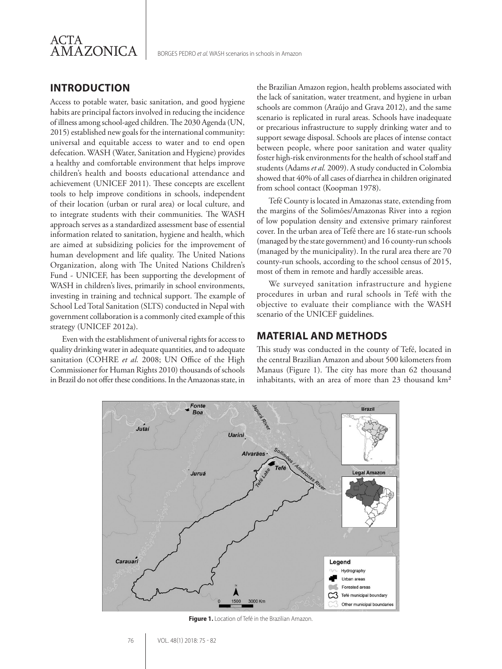

## **INTRODUCTION**

Access to potable water, basic sanitation, and good hygiene habits are principal factors involved in reducing the incidence of illness among school-aged children. The 2030 Agenda (UN, 2015) established new goals for the international community: universal and equitable access to water and to end open defecation. WASH (Water, Sanitation and Hygiene) provides a healthy and comfortable environment that helps improve children's health and boosts educational attendance and achievement (UNICEF 2011). These concepts are excellent tools to help improve conditions in schools, independent of their location (urban or rural area) or local culture, and to integrate students with their communities. The WASH approach serves as a standardized assessment base of essential information related to sanitation, hygiene and health, which are aimed at subsidizing policies for the improvement of human development and life quality. The United Nations Organization, along with The United Nations Children's Fund - UNICEF, has been supporting the development of WASH in children's lives, primarily in school environments, investing in training and technical support. The example of School Led Total Sanitation (SLTS) conducted in Nepal with government collaboration is a commonly cited example of this strategy (UNICEF 2012a).

Even with the establishment of universal rights for access to quality drinking water in adequate quantities, and to adequate sanitation (COHRE et al. 2008; UN Office of the High Commissioner for Human Rights 2010) thousands of schools in Brazil do not offer these conditions. In the Amazonas state, in

the Brazilian Amazon region, health problems associated with the lack of sanitation, water treatment, and hygiene in urban schools are common (Araújo and Grava 2012), and the same scenario is replicated in rural areas. Schools have inadequate or precarious infrastructure to supply drinking water and to support sewage disposal. Schools are places of intense contact between people, where poor sanitation and water quality foster high-risk environments for the health of school staff and students (Adams *et al.* 2009). A study conducted in Colombia showed that 40% of all cases of diarrhea in children originated from school contact (Koopman 1978).

Tefé County is located in Amazonas state, extending from the margins of the Solimões/Amazonas River into a region of low population density and extensive primary rainforest cover. In the urban area of Tefé there are 16 state-run schools (managed by the state government) and 16 county-run schools (managed by the municipality). In the rural area there are 70 county-run schools, according to the school census of 2015, most of them in remote and hardly accessible areas.

We surveyed sanitation infrastructure and hygiene procedures in urban and rural schools in Tefé with the objective to evaluate their compliance with the WASH scenario of the UNICEF guidelines.

## **MATERIAL AND METHODS**

This study was conducted in the county of Tefé, located in the central Brazilian Amazon and about 500 kilometers from Manaus (Figure 1). The city has more than 62 thousand inhabitants, with an area of more than 23 thousand km²



**Figure 1.** Location of Tefé in the Brazilian Amazon.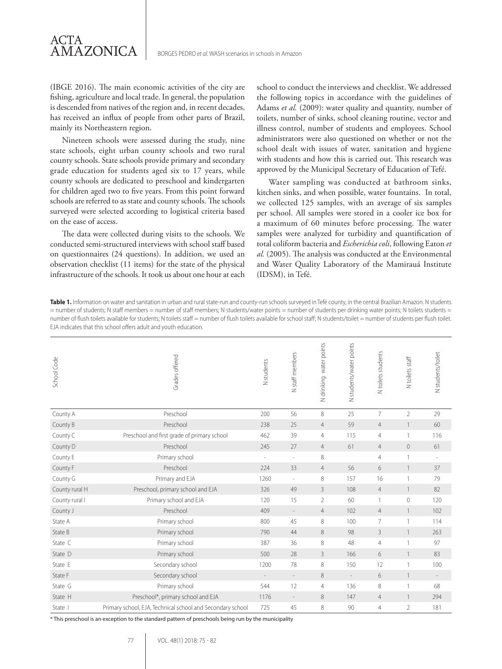(IBGE 2016). The main economic activities of the city are fishing, agriculture and local trade. In general, the population is descended from natives of the region and, in recent decades, has received an influx of people from other parts of Brazil, mainly its Northeastern region.

ACTA

AMAZONICA

Nineteen schools were assessed during the study, nine state schools, eight urban county schools and two rural county schools. State schools provide primary and secondary grade education for students aged six to 17 years, while county schools are dedicated to preschool and kindergarten for children aged two to five years. From this point forward schools are referred to as state and county schools. The schools surveyed were selected according to logistical criteria based on the ease of access.

The data were collected during visits to the schools. We conducted semi-structured interviews with school staff based on questionnaires (24 questions). In addition, we used an observation checklist (11 items) for the state of the physical infrastructure of the schools. It took us about one hour at each

school to conduct the interviews and checklist. We addressed the following topics in accordance with the guidelines of Adams *et al.* (2009): water quality and quantity, number of toilets, number of sinks, school cleaning routine, vector and illness control, number of students and employees. School administrators were also questioned on whether or not the school dealt with issues of water, sanitation and hygiene with students and how this is carried out. This research was approved by the Municipal Secretary of Education of Tefé.

Water sampling was conducted at bathroom sinks, kitchen sinks, and when possible, water fountains. In total, we collected 125 samples, with an average of six samples per school. All samples were stored in a cooler ice box for a maximum of 60 minutes before processing. The water samples were analyzed for turbidity and quantification of total coliform bacteria and *Escherichia coli*, following Eaton *et al.* (2005). The analysis was conducted at the Environmental and Water Quality Laboratory of the Mamirauá Institute (IDSM), in Tefé.

**Table 1.** Information on water and sanitation in urban and rural state-run and county-run schools surveyed in Tefé county, in the central Brazilian Amazon. N students  $=$  number of students; N staff members = number of staff members; N students/water points = number of students per drinking water points; N toilets students = number of flush toilets available for students; N toilets staff = number of flush toilets available for school staff; N students/toilet = number of students per flush toilet. EJA indicates that this school offers adult and youth education.

| School Code    | Grades offered                                             | N students     | N staff members          | N drinking water points | N students/water points  | N toilets students | N toilets staff | N students/toilet        |
|----------------|------------------------------------------------------------|----------------|--------------------------|-------------------------|--------------------------|--------------------|-----------------|--------------------------|
| County A       | Preschool                                                  | 200            | 56                       | 8                       | 25                       | $\overline{7}$     | $\overline{2}$  | 29                       |
| County B       | Preschool                                                  | 238            | 25                       | $\overline{4}$          | 59                       | $\overline{4}$     |                 | 60                       |
| County C       | Preschool and first grade of primary school                | 462            | 39                       | 4                       | 115                      | $\overline{4}$     | 1               | 116                      |
| County D       | Preschool                                                  | 245            | 27                       | $\overline{4}$          | 61                       | $\overline{4}$     | $\mathbf 0$     | 61                       |
| County E       | Primary school                                             | $\overline{a}$ | $\overline{\phantom{a}}$ | 8                       |                          | 4                  | 1               | $\overline{\phantom{a}}$ |
| County F       | Preschool                                                  | 224            | 33                       | $\overline{4}$          | 56                       | 6                  | $\mathbf{1}$    | 37                       |
| County G       | Primary and EJA                                            | 1260           | $\overline{\phantom{a}}$ | 8                       | 157                      | 16                 | 1               | 79                       |
| County rural H | Preschool, primary school and EJA                          | 326            | 49                       | $\overline{3}$          | 108                      | $\overline{4}$     | $\mathbf{1}$    | 82                       |
| County rural I | Primary school and EJA                                     | 120            | 15                       | 2                       | 60                       | 1                  | 0               | 120                      |
| County J       | Preschool                                                  | 409            | $\overline{\phantom{a}}$ | $\overline{4}$          | 102                      | $\overline{4}$     |                 | 102                      |
| State A        | Primary school                                             | 800            | 45                       | 8                       | 100                      | 7                  |                 | 114                      |
| State B        | Primary school                                             | 790            | 44                       | 8                       | 98                       | 3                  | $\mathbf{1}$    | 263                      |
| State C        | Primary school                                             | 387            | 36                       | 8                       | 48                       | $\overline{4}$     | 1               | 97                       |
| State D        | Primary school                                             | 500            | 28                       | $\overline{3}$          | 166                      | 6                  | $\mathbf{1}$    | 83                       |
| State E        | Secondary school                                           | 1200           | 78                       | 8                       | 150                      | 12                 |                 | 100                      |
| State F        | Secondary school                                           | $\overline{a}$ | $\overline{\phantom{a}}$ | 8                       | $\overline{\phantom{a}}$ | 6                  | $\mathbf{1}$    | $\overline{\phantom{a}}$ |
| State G        | Primary school                                             | 544            | 12                       | 4                       | 136                      | 8                  |                 | 68                       |
| State H        | Preschool*, primary school and EJA                         | 1176           | $\overline{\phantom{a}}$ | 8                       | 147                      | $\overline{4}$     | $\mathbf{1}$    | 294                      |
| State I        | Primary school, EJA, Technical school and Secondary school | 725            | 45                       | 8                       | 90                       | 4                  | 2               | 181                      |

\* This preschool is an exception to the standard pattern of preschools being run by the municipality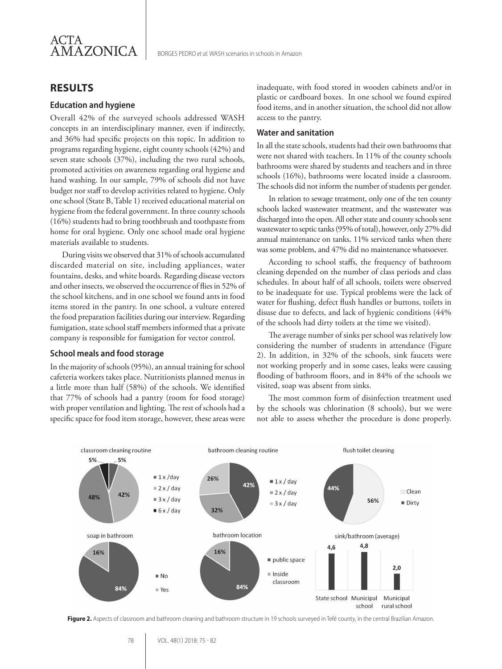

### **RESULTS**

#### **Education and hygiene**

Overall 42% of the surveyed schools addressed WASH concepts in an interdisciplinary manner, even if indirectly, and 36% had specific projects on this topic. In addition to programs regarding hygiene, eight county schools (42%) and seven state schools (37%), including the two rural schools, promoted activities on awareness regarding oral hygiene and hand washing. In our sample, 79% of schools did not have budget nor staff to develop activities related to hygiene. Only one school (State B, Table 1) received educational material on hygiene from the federal government. In three county schools (16%) students had to bring toothbrush and toothpaste from home for oral hygiene. Only one school made oral hygiene materials available to students.

During visits we observed that 31% of schools accumulated discarded material on site, including appliances, water fountains, desks, and white boards. Regarding disease vectors and other insects, we observed the occurrence of flies in 52% of the school kitchens, and in one school we found ants in food items stored in the pantry. In one school, a vulture entered the food preparation facilities during our interview. Regarding fumigation, state school staff members informed that a private company is responsible for fumigation for vector control.

#### **School meals and food storage**

In the majority of schools (95%), an annual training for school cafeteria workers takes place. Nutritionists planned menus in a little more than half (58%) of the schools. We identified that 77% of schools had a pantry (room for food storage) with proper ventilation and lighting. The rest of schools had a specific space for food item storage, however, these areas were inadequate, with food stored in wooden cabinets and/or in plastic or cardboard boxes. In one school we found expired food items, and in another situation, the school did not allow access to the pantry.

#### **Water and sanitation**

In all the state schools, students had their own bathrooms that were not shared with teachers. In 11% of the county schools bathrooms were shared by students and teachers and in three schools (16%), bathrooms were located inside a classroom. The schools did not inform the number of students per gender.

In relation to sewage treatment, only one of the ten county schools lacked wastewater treatment, and the wastewater was discharged into the open. All other state and county schools sent wastewater to septic tanks (95% of total), however, only 27% did annual maintenance on tanks, 11% serviced tanks when there was some problem, and 47% did no maintenance whatsoever.

According to school staffs, the frequency of bathroom cleaning depended on the number of class periods and class schedules. In about half of all schools, toilets were observed to be inadequate for use. Typical problems were the lack of water for flushing, defect flush handles or buttons, toilets in disuse due to defects, and lack of hygienic conditions (44% of the schools had dirty toilets at the time we visited).

The average number of sinks per school was relatively low considering the number of students in attendance (Figure 2). In addition, in 32% of the schools, sink faucets were not working properly and in some cases, leaks were causing flooding of bathroom floors, and in 84% of the schools we visited, soap was absent from sinks.

The most common form of disinfection treatment used by the schools was chlorination (8 schools), but we were not able to assess whether the procedure is done properly.



Figure 2. Aspects of classroom and bathroom cleaning and bathroom structure in 19 schools surveyed in Tefé county, in the central Brazilian Amazon.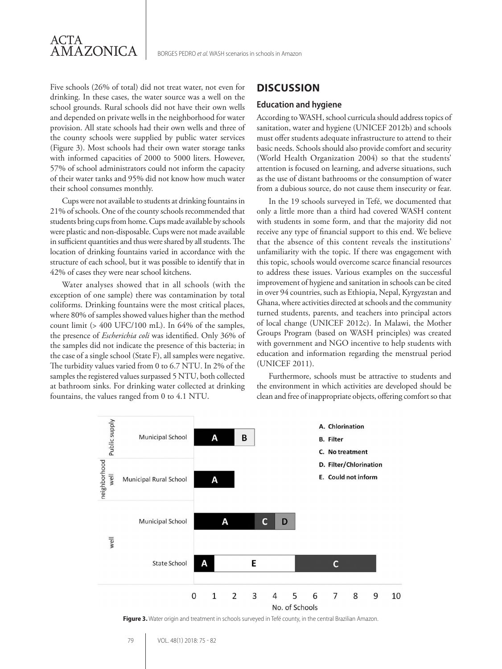Five schools (26% of total) did not treat water, not even for drinking. In these cases, the water source was a well on the school grounds. Rural schools did not have their own wells and depended on private wells in the neighborhood for water provision. All state schools had their own wells and three of the county schools were supplied by public water services (Figure 3). Most schools had their own water storage tanks with informed capacities of 2000 to 5000 liters. However, 57% of school administrators could not inform the capacity of their water tanks and 95% did not know how much water their school consumes monthly.

ACTA

AMAZONICA

Cups were not available to students at drinking fountains in 21% of schools. One of the county schools recommended that students bring cups from home. Cups made available by schools were plastic and non-disposable. Cups were not made available in sufficient quantities and thus were shared by all students. The location of drinking fountains varied in accordance with the structure of each school, but it was possible to identify that in 42% of cases they were near school kitchens.

Water analyses showed that in all schools (with the exception of one sample) there was contamination by total coliforms. Drinking fountains were the most critical places, where 80% of samples showed values higher than the method count limit (> 400 UFC/100 mL). In 64% of the samples, the presence of *Escherichia coli* was identified. Only 36% of the samples did not indicate the presence of this bacteria; in the case of a single school (State F), all samples were negative. The turbidity values varied from 0 to 6.7 NTU. In 2% of the samples the registered values surpassed 5 NTU, both collected at bathroom sinks. For drinking water collected at drinking fountains, the values ranged from 0 to 4.1 NTU.

## **DISCUSSION**

#### **Education and hygiene**

According to WASH, school curricula should address topics of sanitation, water and hygiene (UNICEF 2012b) and schools must offer students adequate infrastructure to attend to their basic needs. Schools should also provide comfort and security (World Health Organization 2004) so that the students' attention is focused on learning, and adverse situations, such as the use of distant bathrooms or the consumption of water from a dubious source, do not cause them insecurity or fear.

In the 19 schools surveyed in Tefé, we documented that only a little more than a third had covered WASH content with students in some form, and that the majority did not receive any type of financial support to this end. We believe that the absence of this content reveals the institutions' unfamiliarity with the topic. If there was engagement with this topic, schools would overcome scarce financial resources to address these issues. Various examples on the successful improvement of hygiene and sanitation in schools can be cited in over 94 countries, such as Ethiopia, Nepal, Kyrgyzstan and Ghana, where activities directed at schools and the community turned students, parents, and teachers into principal actors of local change (UNICEF 2012c). In Malawi, the Mother Groups Program (based on WASH principles) was created with government and NGO incentive to help students with education and information regarding the menstrual period (UNICEF 2011).

Furthermore, schools must be attractive to students and the environment in which activities are developed should be clean and free of inappropriate objects, offering comfort so that



Figure 3. Water origin and treatment in schools surveyed in Tefé county, in the central Brazilian Amazon.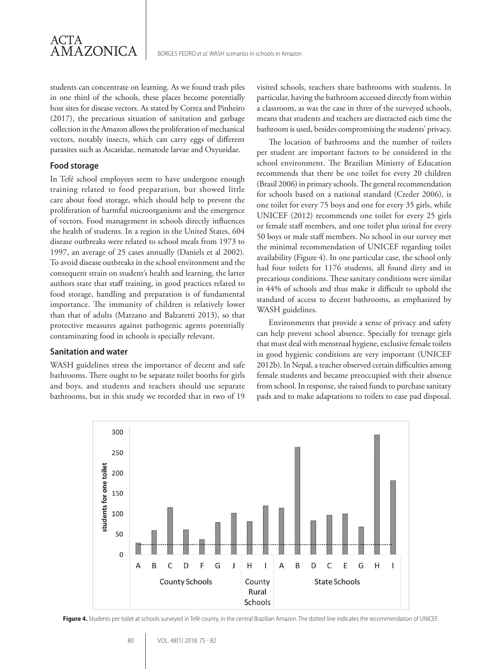

students can concentrate on learning. As we found trash piles in one third of the schools, these places become potentially host sites for disease vectors. As stated by Correa and Pinheiro (2017), the precarious situation of sanitation and garbage collection in the Amazon allows the proliferation of mechanical vectors, notably insects, which can carry eggs of different parasites such as Ascaridae, nematode larvae and Oxyuridae.

#### **Food storage**

In Tefé school employees seem to have undergone enough training related to food preparation, but showed little care about food storage, which should help to prevent the proliferation of harmful microorganisms and the emergence of vectors. Food management in schools directly influences the health of students. In a region in the United States, 604 disease outbreaks were related to school meals from 1973 to 1997, an average of 25 cases annually (Daniels et al 2002). To avoid disease outbreaks in the school environment and the consequent strain on student's health and learning, the latter authors state that staff training, in good practices related to food storage, handling and preparation is of fundamental importance. The immunity of children is relatively lower than that of adults (Marzano and Balzaretti 2013), so that protective measures against pathogenic agents potentially contaminating food in schools is specially relevant.

#### **Sanitation and water**

WASH guidelines stress the importance of decent and safe bathrooms. There ought to be separate toilet booths for girls and boys, and students and teachers should use separate bathrooms, but in this study we recorded that in two of 19 visited schools, teachers share bathrooms with students. In particular, having the bathroom accessed directly from within a classroom, as was the case in three of the surveyed schools, means that students and teachers are distracted each time the bathroom is used, besides compromising the students' privacy.

The location of bathrooms and the number of toilets per student are important factors to be considered in the school environment. The Brazilian Ministry of Education recommends that there be one toilet for every 20 children (Brasil 2006) in primary schools. The general recommendation for schools based on a national standard (Creder 2006), is one toilet for every 75 boys and one for every 35 girls, while UNICEF (2012) recommends one toilet for every 25 girls or female staff members, and one toilet plus urinal for every 50 boys or male staff members. No school in our survey met the minimal recommendation of UNICEF regarding toilet availability (Figure 4). In one particular case, the school only had four toilets for 1176 students, all found dirty and in precarious conditions. These sanitary conditions were similar in 44% of schools and thus make it difficult to uphold the standard of access to decent bathrooms, as emphasized by WASH guidelines.

Environments that provide a sense of privacy and safety can help prevent school absence. Specially for teenage girls that must deal with menstrual hygiene, exclusive female toilets in good hygienic conditions are very important (UNICEF 2012b). In Nepal, a teacher observed certain difficulties among female students and became preoccupied with their absence from school. In response, she raised funds to purchase sanitary pads and to make adaptations to toilets to ease pad disposal.



**Figure 4.** Students per toilet at schools surveyed in Tefé county, in the central Brazilian Amazon. The dotted line indicates the recommendation of UNICEF.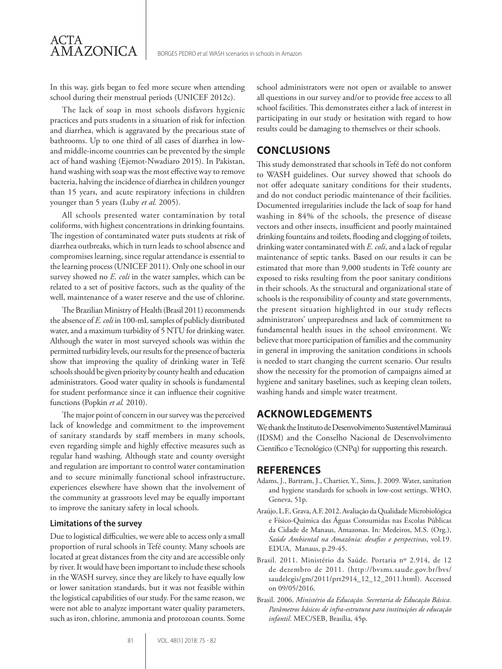In this way, girls began to feel more secure when attending school during their menstrual periods (UNICEF 2012c).

The lack of soap in most schools disfavors hygienic practices and puts students in a situation of risk for infection and diarrhea, which is aggravated by the precarious state of bathrooms. Up to one third of all cases of diarrhea in lowand middle-income countries can be prevented by the simple act of hand washing (Ejemot-Nwadiaro 2015). In Pakistan, hand washing with soap was the most effective way to remove bacteria, halving the incidence of diarrhea in children younger than 15 years, and acute respiratory infections in children younger than 5 years (Luby *et al.* 2005).

All schools presented water contamination by total coliforms, with highest concentrations in drinking fountains. The ingestion of contaminated water puts students at risk of diarrhea outbreaks, which in turn leads to school absence and compromises learning, since regular attendance is essential to the learning process (UNICEF 2011). Only one school in our survey showed no *E. coli* in the water samples, which can be related to a set of positive factors, such as the quality of the well, maintenance of a water reserve and the use of chlorine.

The Brazilian Ministry of Health (Brasil 2011) recommends the absence of *E. coli* in 100-mL samples of publicly distributed water, and a maximum turbidity of 5 NTU for drinking water. Although the water in most surveyed schools was within the permitted turbidity levels, our results for the presence of bacteria show that improving the quality of drinking water in Tefé schools should be given priority by county health and education administrators. Good water quality in schools is fundamental for student performance since it can influence their cognitive functions (Popkin *et al.* 2010).

The major point of concern in our survey was the perceived lack of knowledge and commitment to the improvement of sanitary standards by staff members in many schools, even regarding simple and highly effective measures such as regular hand washing. Although state and county oversight and regulation are important to control water contamination and to secure minimally functional school infrastructure, experiences elsewhere have shown that the involvement of the community at grassroots level may be equally important to improve the sanitary safety in local schools.

#### **Limitations of the survey**

Due to logistical difficulties, we were able to access only a small proportion of rural schools in Tefé county. Many schools are located at great distances from the city and are accessible only by river. It would have been important to include these schools in the WASH survey, since they are likely to have equally low or lower sanitation standards, but it was not feasible within the logistical capabilities of our study. For the same reason, we were not able to analyze important water quality parameters, such as iron, chlorine, ammonia and protozoan counts. Some school administrators were not open or available to answer all questions in our survey and/or to provide free access to all school facilities. This demonstrates either a lack of interest in participating in our study or hesitation with regard to how results could be damaging to themselves or their schools.

## **CONCLUSIONS**

This study demonstrated that schools in Tefé do not conform to WASH guidelines. Our survey showed that schools do not offer adequate sanitary conditions for their students, and do not conduct periodic maintenance of their facilities. Documented irregularities include the lack of soap for hand washing in 84% of the schools, the presence of disease vectors and other insects, insufficient and poorly maintained drinking fountains and toilets, flooding and clogging of toilets, drinking water contaminated with *E. coli*, and a lack of regular maintenance of septic tanks. Based on our results it can be estimated that more than 9,000 students in Tefé county are exposed to risks resulting from the poor sanitary conditions in their schools. As the structural and organizational state of schools is the responsibility of county and state governments, the present situation highlighted in our study reflects administrators' unpreparedness and lack of commitment to fundamental health issues in the school environment. We believe that more participation of families and the community in general in improving the sanitation conditions in schools is needed to start changing the current scenario. Our results show the necessity for the promotion of campaigns aimed at hygiene and sanitary baselines, such as keeping clean toilets, washing hands and simple water treatment.

## **ACKNOWLEDGEMENTS**

We thank the Instituto de Desenvolvimento Sustentável Mamirauá (IDSM) and the Conselho Nacional de Desenvolvimento Científico e Tecnológico (CNPq) for supporting this research.

## **REFERENCES**

- Adams, J., Bartram, J., Chartier, Y., Sims, J. 2009. Water, sanitation and hygiene standards for schools in low-cost settings. WHO, Geneva, 51p.
- Araújo, L.F., Grava, A.F. 2012. Avaliação da Qualidade Microbiológica e Físico-Química das Águas Consumidas nas Escolas Públicas da Cidade de Manaus, Amazonas. In: Medeiros, M.S. (Org.), *Saúde Ambiental na Amazônia: desafios e perspectivas*, vol.19. EDUA, Manaus, p.29-45.
- Brasil. 2011. Ministério da Saúde. Portaria nº 2.914, de 12 de dezembro de 2011. (http://bvsms.saude.gov.br/bvs/ saudelegis/gm/2011/prt2914\_12\_12\_2011.html). Accessed on 09/05/2016.
- Brasil. 2006. *Ministério da Educação. Secretaria de Educação Básica. Parâmetros básicos de infra-estrutura para instituições de educação infantil*. MEC/SEB, Brasília, 45p.